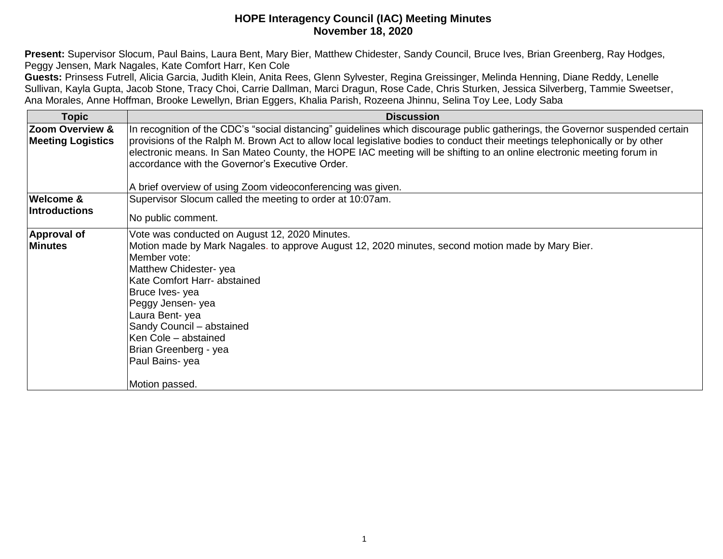**Present:** Supervisor Slocum, Paul Bains, Laura Bent, Mary Bier, Matthew Chidester, Sandy Council, Bruce Ives, Brian Greenberg, Ray Hodges, Peggy Jensen, Mark Nagales, Kate Comfort Harr, Ken Cole

**Guests:** Prinsess Futrell, Alicia Garcia, Judith Klein, Anita Rees, Glenn Sylvester, Regina Greissinger, Melinda Henning, Diane Reddy, Lenelle Sullivan, Kayla Gupta, Jacob Stone, Tracy Choi, Carrie Dallman, Marci Dragun, Rose Cade, Chris Sturken, Jessica Silverberg, Tammie Sweetser, Ana Morales, Anne Hoffman, Brooke Lewellyn, Brian Eggers, Khalia Parish, Rozeena Jhinnu, Selina Toy Lee, Lody Saba

| <b>Topic</b>                                | <b>Discussion</b>                                                                                                                                                                                                                                                                                                                                                                                                                                                                                       |
|---------------------------------------------|---------------------------------------------------------------------------------------------------------------------------------------------------------------------------------------------------------------------------------------------------------------------------------------------------------------------------------------------------------------------------------------------------------------------------------------------------------------------------------------------------------|
| Zoom Overview &<br><b>Meeting Logistics</b> | In recognition of the CDC's "social distancing" guidelines which discourage public gatherings, the Governor suspended certain<br>provisions of the Ralph M. Brown Act to allow local legislative bodies to conduct their meetings telephonically or by other<br>electronic means. In San Mateo County, the HOPE IAC meeting will be shifting to an online electronic meeting forum in<br>accordance with the Governor's Executive Order.<br>A brief overview of using Zoom videoconferencing was given. |
| Welcome &<br><b>Introductions</b>           | Supervisor Slocum called the meeting to order at 10:07am.<br>No public comment.                                                                                                                                                                                                                                                                                                                                                                                                                         |
| <b>Approval of</b><br><b>Minutes</b>        | Vote was conducted on August 12, 2020 Minutes.<br>Motion made by Mark Nagales. to approve August 12, 2020 minutes, second motion made by Mary Bier.<br>Member vote:<br>Matthew Chidester-yea<br>Kate Comfort Harr- abstained<br>Bruce Ives-yea<br>Peggy Jensen- yea<br>Laura Bent-yea<br>Sandy Council - abstained<br>Ken Cole - abstained<br>Brian Greenberg - yea<br>Paul Bains-yea<br>Motion passed.                                                                                                 |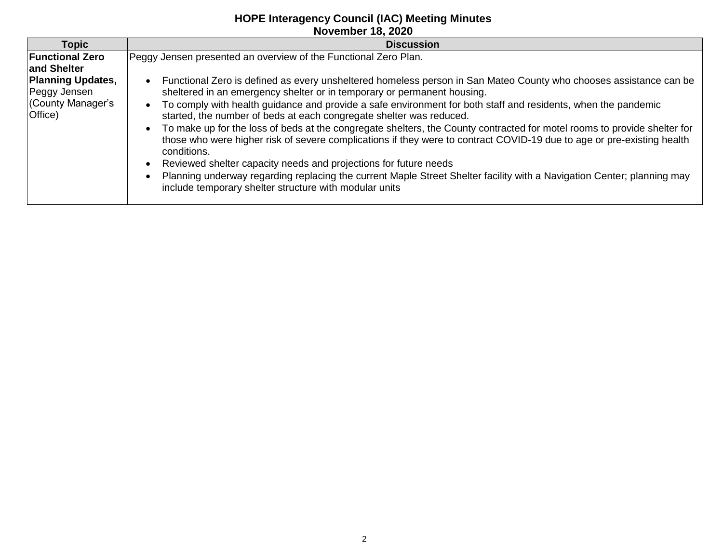| <b>Topic</b>                                                             | <b>Discussion</b>                                                                                                                                                                                                                                                                                                                                                                                                                                                                                                                                                                                                                                                                                                                                                                                                                                                                                                                                                                  |  |
|--------------------------------------------------------------------------|------------------------------------------------------------------------------------------------------------------------------------------------------------------------------------------------------------------------------------------------------------------------------------------------------------------------------------------------------------------------------------------------------------------------------------------------------------------------------------------------------------------------------------------------------------------------------------------------------------------------------------------------------------------------------------------------------------------------------------------------------------------------------------------------------------------------------------------------------------------------------------------------------------------------------------------------------------------------------------|--|
| <b>Functional Zero</b><br>and Shelter                                    | Peggy Jensen presented an overview of the Functional Zero Plan.                                                                                                                                                                                                                                                                                                                                                                                                                                                                                                                                                                                                                                                                                                                                                                                                                                                                                                                    |  |
| <b>Planning Updates,</b><br>Peggy Jensen<br>(County Manager's<br>Office) | Functional Zero is defined as every unsheltered homeless person in San Mateo County who chooses assistance can be<br>$\bullet$<br>sheltered in an emergency shelter or in temporary or permanent housing.<br>To comply with health guidance and provide a safe environment for both staff and residents, when the pandemic<br>$\bullet$<br>started, the number of beds at each congregate shelter was reduced.<br>To make up for the loss of beds at the congregate shelters, the County contracted for motel rooms to provide shelter for<br>$\bullet$<br>those who were higher risk of severe complications if they were to contract COVID-19 due to age or pre-existing health<br>conditions.<br>Reviewed shelter capacity needs and projections for future needs<br>$\bullet$<br>Planning underway regarding replacing the current Maple Street Shelter facility with a Navigation Center; planning may<br>$\bullet$<br>include temporary shelter structure with modular units |  |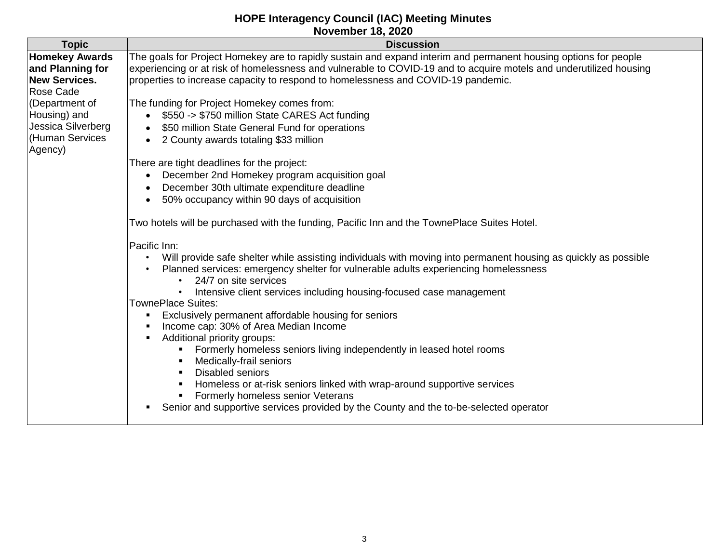| NOVERIDER TO, ZUZU                                                                              |                                                                                                                                                                                                                                                                                                                                                                                                                              |  |
|-------------------------------------------------------------------------------------------------|------------------------------------------------------------------------------------------------------------------------------------------------------------------------------------------------------------------------------------------------------------------------------------------------------------------------------------------------------------------------------------------------------------------------------|--|
| <b>Topic</b>                                                                                    | <b>Discussion</b>                                                                                                                                                                                                                                                                                                                                                                                                            |  |
| <b>Homekey Awards</b><br>and Planning for<br><b>New Services.</b>                               | The goals for Project Homekey are to rapidly sustain and expand interim and permanent housing options for people<br>experiencing or at risk of homelessness and vulnerable to COVID-19 and to acquire motels and underutilized housing<br>properties to increase capacity to respond to homelessness and COVID-19 pandemic.                                                                                                  |  |
| Rose Cade<br>(Department of<br>Housing) and<br>Jessica Silverberg<br>(Human Services<br>Agency) | The funding for Project Homekey comes from:<br>\$550 -> \$750 million State CARES Act funding<br>\$50 million State General Fund for operations<br>2 County awards totaling \$33 million                                                                                                                                                                                                                                     |  |
|                                                                                                 | There are tight deadlines for the project:<br>December 2nd Homekey program acquisition goal<br>December 30th ultimate expenditure deadline<br>50% occupancy within 90 days of acquisition                                                                                                                                                                                                                                    |  |
|                                                                                                 | Two hotels will be purchased with the funding, Pacific Inn and the TownePlace Suites Hotel.                                                                                                                                                                                                                                                                                                                                  |  |
|                                                                                                 | Pacific Inn:<br>Will provide safe shelter while assisting individuals with moving into permanent housing as quickly as possible<br>Planned services: emergency shelter for vulnerable adults experiencing homelessness<br>24/7 on site services<br>Intensive client services including housing-focused case management                                                                                                       |  |
|                                                                                                 | TownePlace Suites:<br>Exclusively permanent affordable housing for seniors<br>Income cap: 30% of Area Median Income<br>Additional priority groups:<br>Formerly homeless seniors living independently in leased hotel rooms<br>Medically-frail seniors<br>п<br><b>Disabled seniors</b><br>$\blacksquare$<br>Homeless or at-risk seniors linked with wrap-around supportive services<br>٠<br>Formerly homeless senior Veterans |  |
|                                                                                                 | Senior and supportive services provided by the County and the to-be-selected operator                                                                                                                                                                                                                                                                                                                                        |  |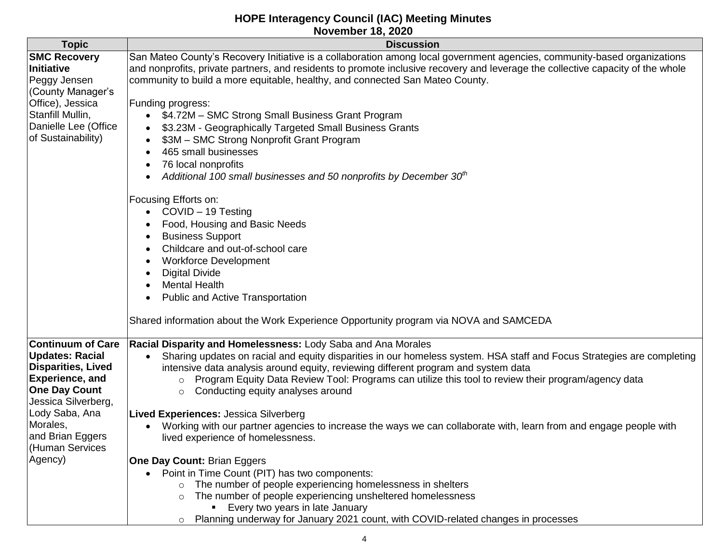|                                                                                                                                                                                                                            | ITUTUIINUI TU, LULU                                                                                                                                                                                                                                                                                                                                                                                                                                                                                                                                                                                                                                                                                                                                                                                                                                                                                                                                                                                                                                                                                                                                                   |
|----------------------------------------------------------------------------------------------------------------------------------------------------------------------------------------------------------------------------|-----------------------------------------------------------------------------------------------------------------------------------------------------------------------------------------------------------------------------------------------------------------------------------------------------------------------------------------------------------------------------------------------------------------------------------------------------------------------------------------------------------------------------------------------------------------------------------------------------------------------------------------------------------------------------------------------------------------------------------------------------------------------------------------------------------------------------------------------------------------------------------------------------------------------------------------------------------------------------------------------------------------------------------------------------------------------------------------------------------------------------------------------------------------------|
| <b>Topic</b>                                                                                                                                                                                                               | <b>Discussion</b>                                                                                                                                                                                                                                                                                                                                                                                                                                                                                                                                                                                                                                                                                                                                                                                                                                                                                                                                                                                                                                                                                                                                                     |
| <b>SMC Recovery</b><br>Initiative<br>Peggy Jensen<br>(County Manager's<br>Office), Jessica<br>Stanfill Mullin,<br>Danielle Lee (Office<br>of Sustainability)                                                               | San Mateo County's Recovery Initiative is a collaboration among local government agencies, community-based organizations<br>and nonprofits, private partners, and residents to promote inclusive recovery and leverage the collective capacity of the whole<br>community to build a more equitable, healthy, and connected San Mateo County.<br>Funding progress:<br>\$4.72M - SMC Strong Small Business Grant Program<br>\$3.23M - Geographically Targeted Small Business Grants<br>\$3M - SMC Strong Nonprofit Grant Program<br>465 small businesses<br>$\bullet$<br>76 local nonprofits<br>$\bullet$<br>Additional 100 small businesses and 50 nonprofits by December 30th<br>$\bullet$<br>Focusing Efforts on:<br>COVID - 19 Testing<br>$\bullet$<br>Food, Housing and Basic Needs<br>$\bullet$<br><b>Business Support</b><br>$\bullet$<br>Childcare and out-of-school care<br>$\bullet$<br><b>Workforce Development</b><br>$\bullet$<br><b>Digital Divide</b><br>$\bullet$<br><b>Mental Health</b><br>$\bullet$<br><b>Public and Active Transportation</b><br>$\bullet$<br>Shared information about the Work Experience Opportunity program via NOVA and SAMCEDA |
| <b>Continuum of Care</b><br>Updates: Racial<br>Disparities, Lived<br><b>Experience, and</b><br><b>One Day Count</b><br>Jessica Silverberg,<br>Lody Saba, Ana<br>Morales,<br>and Brian Eggers<br>(Human Services<br>Agency) | Racial Disparity and Homelessness: Lody Saba and Ana Morales<br>Sharing updates on racial and equity disparities in our homeless system. HSA staff and Focus Strategies are completing<br>intensive data analysis around equity, reviewing different program and system data<br>o Program Equity Data Review Tool: Programs can utilize this tool to review their program/agency data<br>Conducting equity analyses around<br>$\circ$<br><b>Lived Experiences: Jessica Silverberg</b><br>Working with our partner agencies to increase the ways we can collaborate with, learn from and engage people with<br>$\bullet$<br>lived experience of homelessness.<br>One Day Count: Brian Eggers                                                                                                                                                                                                                                                                                                                                                                                                                                                                           |
|                                                                                                                                                                                                                            | • Point in Time Count (PIT) has two components:<br>The number of people experiencing homelessness in shelters<br>$\circ$<br>The number of people experiencing unsheltered homelessness<br>$\circ$<br><b>Example 1</b> Every two years in late January<br>o Planning underway for January 2021 count, with COVID-related changes in processes                                                                                                                                                                                                                                                                                                                                                                                                                                                                                                                                                                                                                                                                                                                                                                                                                          |